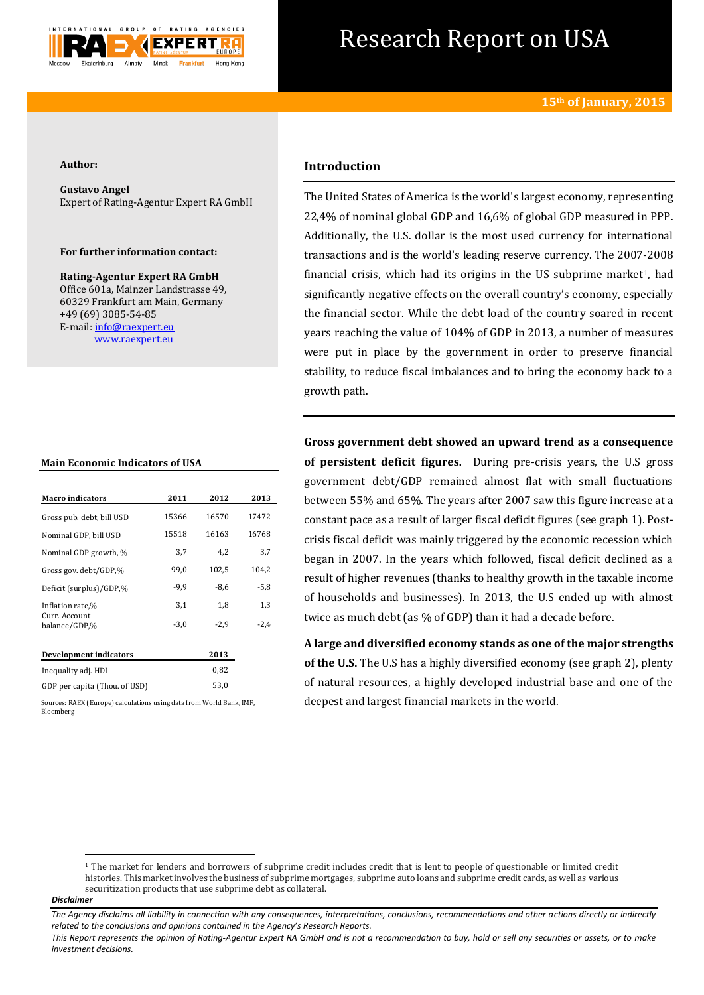

# Research Report on USA

#### **Author:**

**Gustavo Angel** Expert of Rating-Agentur Expert RA GmbH

#### **For further information contact:**

**Rating-Agentur Expert RA GmbH** Office 601a, Mainzer Landstrasse 49, 60329 Frankfurt am Main, Germany +49 (69) 3085-54-85 E-mail[: info@raexpert.eu](mailto:info@raexpert.eu) [www.raexpert.eu](http://raexpert.eu/)

| <b>Main Economic Indicators of USA</b> |  |  |
|----------------------------------------|--|--|
|----------------------------------------|--|--|

| <b>Macro indicators</b>        | 2011   | 2012   | 2013   |
|--------------------------------|--------|--------|--------|
| Gross pub. debt, bill USD      | 15366  | 16570  | 17472  |
| Nominal GDP, bill USD          | 15518  | 16163  | 16768  |
| Nominal GDP growth, %          | 3,7    | 4,2    | 3,7    |
| Gross gov. debt/GDP,%          | 99,0   | 102,5  | 104,2  |
| Deficit (surplus)/GDP,%        | $-9,9$ | $-8.6$ | $-5,8$ |
| Inflation rate,%               | 3,1    | 1,8    | 1,3    |
| Curr. Account<br>balance/GDP.% | $-3,0$ | $-2.9$ | $-2,4$ |
| Development indicators         |        | 2013   |        |
| Inequality adj. HDI            |        | 0,82   |        |
| GDP per capita (Thou. of USD)  |        | 53,0   |        |

Sources: RAEX (Europe) calculations using data from World Bank, IMF, Bloomberg

## **Introduction**

The United States of America is the world's largest economy, representing 22,4% of nominal global GDP and 16,6% of global GDP measured in PPP. Additionally, the U.S. dollar is the most used currency for international transactions and is the world's leading reserve currency. The 2007-2008 financial crisis, which had its origins in the US subprime market<sup>1</sup>, had significantly negative effects on the overall country's economy, especially the financial sector. While the debt load of the country soared in recent years reaching the value of 104% of GDP in 2013, a number of measures were put in place by the government in order to preserve financial stability, to reduce fiscal imbalances and to bring the economy back to a growth path.

**Gross government debt showed an upward trend as a consequence of persistent deficit figures.** During pre-crisis years, the U.S gross government debt/GDP remained almost flat with small fluctuations between 55% and 65%. The years after 2007 saw this figure increase at a constant pace as a result of larger fiscal deficit figures (see graph 1). Postcrisis fiscal deficit was mainly triggered by the economic recession which began in 2007. In the years which followed, fiscal deficit declined as a result of higher revenues (thanks to healthy growth in the taxable income of households and businesses). In 2013, the U.S ended up with almost twice as much debt (as % of GDP) than it had a decade before.

**A large and diversified economy stands as one of the major strengths of the U.S.** The U.S has a highly diversified economy (see graph 2), plenty of natural resources, a highly developed industrial base and one of the deepest and largest financial markets in the world.

**.** 

<sup>&</sup>lt;sup>1</sup> The market for lenders and borrowers of subprime credit includes credit that is lent to people of questionable or limited credit histories. This market involves the business of subprime mortgages, subprime auto loans and subprime credit cards, as well as various securitization products that use subprime debt as collateral.

*Disclaimer* 

*The Agency disclaims all liability in connection with any consequences, interpretations, conclusions, recommendations and other actions directly or indirectly related to the conclusions and opinions contained in the Agency's Research Reports.*

*This Report represents the opinion of Rating-Agentur Expert RA GmbH and is not a recommendation to buy, hold or sell any securities or assets, or to make investment decisions.*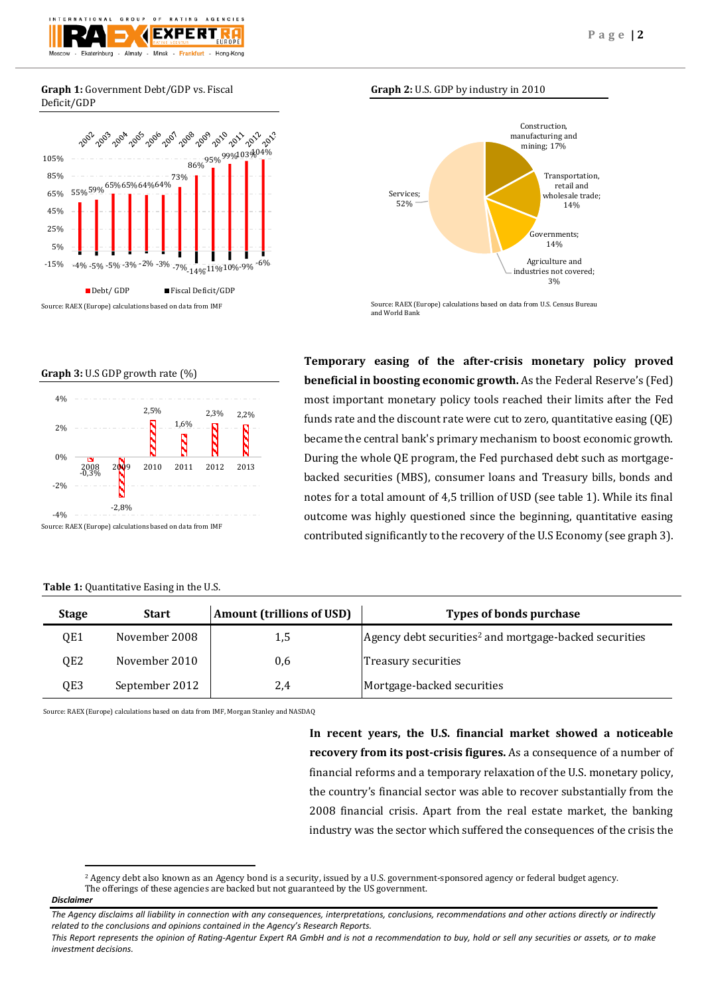

#### **Graph 1:** Government Debt/GDP vs. Fiscal Deficit/GDP



### **Graph 2:** U.S. GDP by industry in 2010



Source: RAEX (Europe) calculations based on data from U.S. Census Bureau and World Bank

**Temporary easing of the after-crisis monetary policy proved beneficial in boosting economic growth.** As the Federal Reserve's (Fed) most important monetary policy tools reached their limits after the Fed funds rate and the discount rate were cut to zero, quantitative easing (QE) became the central bank's primary mechanism to boost economic growth. During the whole QE program, the Fed purchased debt such as mortgagebacked securities (MBS), consumer loans and Treasury bills, bonds and notes for a total amount of 4,5 trillion of USD (see table 1). While its final outcome was highly questioned since the beginning, quantitative easing contributed significantly to the recovery of the U.S Economy (see graph 3).

| 4%<br>2% |         | 2,5% | 1,6% | 2,3% | 2,2% |
|----------|---------|------|------|------|------|
| 0%       |         | 2010 | 2011 | 2012 | 2013 |
| $-2\%$   |         |      |      |      |      |
| $-4%$    | $-2,8%$ |      |      |      |      |

**Graph 3:** U.S GDP growth rate (%)

#### **Table 1:** Quantitative Easing in the U.S.

**Stage Start Amount (trillions of USD) Types of bonds purchase** QE1 November 2008 1,5 Agency debt securities<sup>2</sup> and mortgage-backed securities QE2 November 2010 0,6 Treasury securities QE3 September 2012 2,4 Mortgage-backed securities

Source: RAEX (Europe) calculations based on data from IMF, Morgan Stanley and NASDAQ

**In recent years, the U.S. financial market showed a noticeable recovery from its post-crisis figures.** As a consequence of a number of financial reforms and a temporary relaxation of the U.S. monetary policy, the country's financial sector was able to recover substantially from the 2008 financial crisis. Apart from the real estate market, the banking industry was the sector which suffered the consequences of the crisis the

**.** 

<sup>2</sup> Agency debt also known as an Agency bond is a security, issued by a U.S. government-sponsored agency or federal budget agency. The offerings of these agencies are backed but not guaranteed by the US government.

*Disclaimer* 

*The Agency disclaims all liability in connection with any consequences, interpretations, conclusions, recommendations and other actions directly or indirectly related to the conclusions and opinions contained in the Agency's Research Reports.*

*This Report represents the opinion of Rating-Agentur Expert RA GmbH and is not a recommendation to buy, hold or sell any securities or assets, or to make investment decisions.*